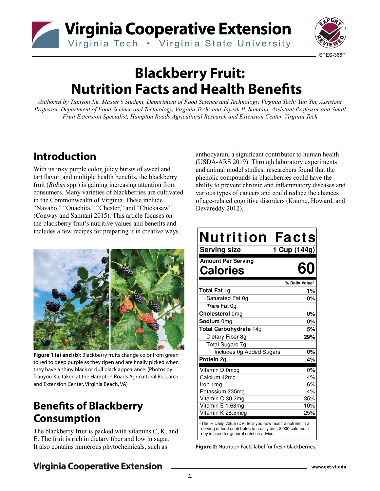



# **Blackberry Fruit: Nutrition Facts and Health Benefits**

*Authored by Tianyou Xu, Master's Student, Department of Food Science and Technology, Virginia Tech; Yun Yin, Assistant Professor, Department of Food Science and Technology, Virginia Tech; and Jayesh B. Samtani, Assistant Professor and Small Fruit Extension Specialist, Hampton Roads Agricultural Research and Extension Center, Virginia Tech*

# **Introduction**

With its inky purple color, juicy bursts of sweet and tart flavor, and multiple health benefits, the blackberry fruit (*Rubus* spp.) is gaining increasing attention from consumers. Many varieties of blackberries are cultivated in the Commonwealth of Virginia. These include "Navaho," "Ouachita," "Chester," and "Chickasaw" (Conway and Samtani 2015). This article focuses on the blackberry fruit's nutritive values and benefits and includes a few recipes for preparing it in creative ways.



**Figure 1 (a) and (b):** Blackberry fruits change color from green to red to deep purple as they ripen and are finally picked when they have a shiny black or dull black appearance. (Photos by Tianyou Xu, taken at the Hampton Roads Agricultural Research and Extension Center, Virginia Beach, VA)

# **Benefits of Blackberry Consumption**

The blackberry fruit is packed with vitamins C, K, and E. The fruit is rich in dietary fiber and low in sugar. It also contains numerous phytochemicals, such as

anthocyanin, a significant contributor to human health (USDA-ARS 2019). Through laboratory experiments and animal model studies, researchers found that the phenolic compounds in blackberries could have the ability to prevent chronic and inflammatory diseases and various types of cancers and could reduce the chances of age-related cognitive disorders (Kaume, Howard, and Devareddy 2012).

| Nutrition<br><b>Serving size</b>             | <b>Facts</b><br>1 Cup (144g) |
|----------------------------------------------|------------------------------|
| <b>Amount Per Serving</b><br><b>Calories</b> |                              |
|                                              | % Daily Value*               |
| <b>Total Fat 1g</b>                          | 1%                           |
| Saturated Fat 0q                             | 0%                           |
| <i>Trans</i> Fat 0q                          |                              |
| Cholesterol 0mg                              | 0%                           |
| Sodium 0mg                                   | 0%                           |
| Total Carbohydrate 14g                       | 5%                           |
| Dietary Fiber 8g                             | 29%                          |
| <b>Total Sugars 7g</b>                       |                              |
| Includes 0g Added Sugars                     | 0%                           |
| <b>Protein 2g</b>                            | 4%                           |
| Vitamin D 0mcg                               | 0%                           |
| Calcium 42mg                                 | 4%                           |
| Iron 1mg                                     | 6%                           |
| Potassium 235mg                              | 4%                           |
| Vitamin C 30.2mg                             | 35%                          |
| Vitamin E 1.68mg                             | 10%                          |
| Vitamin K 28.5mcg                            | 25%                          |

The % Daily Value (DV) tells you how much a nutrient in a serving of food contributes to a daily diet. 2,000 calories a day is used for general nutrition advice.

**Figure 2:** Nutrition Facts label for fresh blackberries.

# **Virginia Cooperative Extension**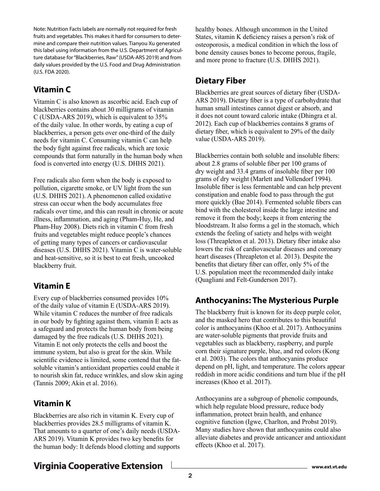Note: Nutrition Facts labels are normally not required for fresh fruits and vegetables. This makes it hard for consumers to determine and compare their nutrition values. Tianyou Xu generated this label using information from the U.S. Department of Agriculture database for "Blackberries, Raw" (USDA-ARS 2019) and from daily values provided by the U.S. Food and Drug Administration (U.S. FDA 2020).

## **Vitamin C**

Vitamin C is also known as ascorbic acid. Each cup of blackberries contains about 30 milligrams of vitamin C (USDA-ARS 2019), which is equivalent to 35% of the daily value. In other words, by eating a cup of blackberries, a person gets over one-third of the daily needs for vitamin C. Consuming vitamin C can help the body fight against free radicals, which are toxic compounds that form naturally in the human body when food is converted into energy (U.S. DHHS 2021).

Free radicals also form when the body is exposed to pollution, cigarette smoke, or UV light from the sun (U.S. DHHS 2021). A phenomenon called oxidative stress can occur when the body accumulates free radicals over time, and this can result in chronic or acute illness, inflammation, and aging (Pham-Huy, He, and Pham-Huy 2008). Diets rich in vitamin C from fresh fruits and vegetables might reduce people's chances of getting many types of cancers or cardiovascular diseases (U.S. DHHS 2021). Vitamin C is water-soluble and heat-sensitive, so it is best to eat fresh, uncooked blackberry fruit.

# **Vitamin E**

Every cup of blackberries consumed provides 10% of the daily value of vitamin E (USDA-ARS 2019). While vitamin C reduces the number of free radicals in our body by fighting against them, vitamin E acts as a safeguard and protects the human body from being damaged by the free radicals (U.S. DHHS 2021). Vitamin E not only protects the cells and boost the immune system, but also is great for the skin. While scientific evidence is limited, some contend that the fatsoluble vitamin's antioxidant properties could enable it to nourish skin fat, reduce wrinkles, and slow skin aging (Tannis 2009; Akin et al. 2016).

### **Vitamin K**

Blackberries are also rich in vitamin K. Every cup of blackberries provides 28.5 milligrams of vitamin K. That amounts to a quarter of one's daily needs (USDA-ARS 2019). Vitamin K provides two key benefits for the human body: It defends blood clotting and supports healthy bones. Although uncommon in the United States, vitamin K deficiency raises a person's risk of osteoporosis, a medical condition in which the loss of bone density causes bones to become porous, fragile, and more prone to fracture (U.S. DHHS 2021).

### **Dietary Fiber**

Blackberries are great sources of dietary fiber (USDA-ARS 2019). Dietary fiber is a type of carbohydrate that human small intestines cannot digest or absorb, and it does not count toward caloric intake (Dhingra et al. 2012). Each cup of blackberries contains 8 grams of dietary fiber, which is equivalent to 29% of the daily value (USDA-ARS 2019).

Blackberries contain both soluble and insoluble fibers: about 2.8 grams of soluble fiber per 100 grams of dry weight and 33.4 grams of insoluble fiber per 100 grams of dry weight (Marlett and Vollendorf 1994). Insoluble fiber is less fermentable and can help prevent constipation and enable food to pass through the gut more quickly (Bae 2014). Fermented soluble fibers can bind with the cholesterol inside the large intestine and remove it from the body; keeps it from entering the bloodstream. It also forms a gel in the stomach, which extends the feeling of satiety and helps with weight loss (Threapleton et al. 2013). Dietary fiber intake also lowers the risk of cardiovascular diseases and coronary heart diseases (Threapleton et al. 2013). Despite the benefits that dietary fiber can offer, only 5% of the U.S. population meet the recommended daily intake (Quagliani and Felt-Gunderson 2017).

### **Anthocyanins: The Mysterious Purple**

The blackberry fruit is known for its deep purple color, and the masked hero that contributes to this beautiful color is anthocyanins (Khoo et al. 2017). Anthocyanins are water-soluble pigments that provide fruits and vegetables such as blackberry, raspberry, and purple corn their signature purple, blue, and red colors (Kong et al. 2003). The colors that anthocyanins produce depend on pH, light, and temperature. The colors appear reddish in more acidic conditions and turn blue if the pH increases (Khoo et al. 2017).

Anthocyanins are a subgroup of phenolic compounds, which help regulate blood pressure, reduce body inflammation, protect brain health, and enhance cognitive function (Igwe, Charlton, and Probst 2019). Many studies have shown that anthocyanins could also alleviate diabetes and provide anticancer and antioxidant effects (Khoo et al. 2017).

# **Virginia Cooperative Extension**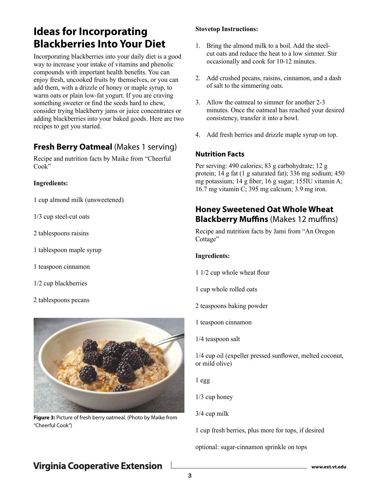# **Ideas for Incorporating Blackberries Into Your Diet**

Incorporating blackberries into your daily diet is a good way to increase your intake of vitamins and phenolic compounds with important health benefits. You can enjoy fresh, uncooked fruits by themselves, or you can add them, with a drizzle of honey or maple syrup, to warm oats or plain low-fat yogurt. If you are craving something sweeter or find the seeds hard to chew, consider trying blackberry jams or juice concentrates or adding blackberries into your baked goods. Here are two recipes to get you started.

### **Fresh Berry Oatmeal (Makes 1 serving)**

Recipe and nutrition facts by Maike from "Cheerful Cook"

#### **Ingredients:**

1 cup almond milk (unsweetened)

1/3 cup steel-cut oats

- 2 tablespoons raisins
- 1 tablespoon maple syrup
- 1 teaspoon cinnamon
- 1/2 cup blackberries
- 2 tablespoons pecans



**Figure 3:** Picture of fresh berry oatmeal. (Photo by Maike from "Cheerful Cook")

#### **Stovetop Instructions:**

- 1. Bring the almond milk to a boil. Add the steelcut oats and reduce the heat to a low simmer. Stir occasionally and cook for 10-12 minutes.
- 2. Add crushed pecans, raisins, cinnamon, and a dash of salt to the simmering oats.
- 3. Allow the oatmeal to simmer for another 2-3 minutes. Once the oatmeal has reached your desired consistency, transfer it into a bowl.
- 4. Add fresh berries and drizzle maple syrup on top.

#### **Nutrition Facts**

Per serving: 490 calories; 83 g carbohydrate; 12 g protein; 14 g fat (1 g saturated fat); 336 mg sodium; 450 mg potassium; 14 g fiber; 16 g sugar; 155IU vitamin A; 16.7 mg vitamin C; 395 mg calcium; 3.9 mg iron.

### **Honey Sweetened Oat Whole Wheat Blackberry Muffins** (Makes 12 muffins)

Recipe and nutrition facts by Jami from "An Oregon Cottage"

#### **Ingredients:**

- 1 1/2 cup whole wheat flour
- 1 cup whole rolled oats
- 2 teaspoons baking powder
- 1 teaspoon cinnamon
- 1/4 teaspoon salt

1/4 cup oil (expeller pressed sunflower, melted coconut, or mild olive)

1 egg

1/3 cup honey

3/4 cup milk

1 cup fresh berries, plus more for tops, if desired

optional: sugar-cinnamon sprinkle on tops

# **Virginia Cooperative Extension**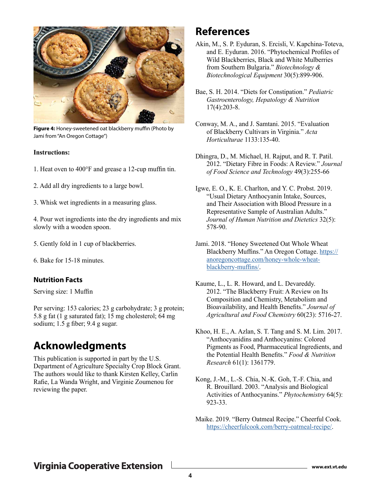

**Figure 4:** Honey-sweetened oat blackberry muffin (Photo by Jami from "An Oregon Cottage")

#### **Instructions:**

- 1. Heat oven to 400°F and grease a 12-cup muffin tin.
- 2. Add all dry ingredients to a large bowl.
- 3. Whisk wet ingredients in a measuring glass.

4. Pour wet ingredients into the dry ingredients and mix slowly with a wooden spoon.

- 5. Gently fold in 1 cup of blackberries.
- 6. Bake for 15-18 minutes.

#### **Nutrition Facts**

Serving size: 1 Muffin

Per serving: 153 calories; 23 g carbohydrate; 3 g protein; 5.8 g fat (1 g saturated fat); 15 mg cholesterol; 64 mg sodium; 1.5 g fiber; 9.4 g sugar.

# **Acknowledgments**

This publication is supported in part by the U.S. Department of Agriculture Specialty Crop Block Grant. The authors would like to thank Kirsten Kelley, Carlin Rafie, La Wanda Wright, and Virginie Zoumenou for reviewing the paper.

## **References**

- Akin, M., S. P. Eyduran, S. Ercisli, V. Kapchina-Toteva, and E. Eyduran. 2016. "Phytochemical Profiles of Wild Blackberries, Black and White Mulberries from Southern Bulgaria." *Biotechnology & Biotechnological Equipment* 30(5):899-906.
- Bae, S. H. 2014. "Diets for Constipation." *Pediatric Gastroenterology, Hepatology & Nutrition* 17(4):203-8.
- Conway, M. A., and J. Samtani. 2015. "Evaluation of Blackberry Cultivars in Virginia." *Acta Horticulturae* 1133:135-40.
- Dhingra, D., M. Michael, H. Rajput, and R. T. Patil. 2012. "Dietary Fibre in Foods: A Review." *Journal of Food Science and Technology* 49(3):255-66
- Igwe, E. O., K. E. Charlton, and Y. C. Probst. 2019. "Usual Dietary Anthocyanin Intake, Sources, and Their Association with Blood Pressure in a Representative Sample of Australian Adults." *Journal of Human Nutrition and Dietetics* 32(5): 578-90.
- Jami. 2018. "Honey Sweetened Oat Whole Wheat Blackberry Muffins." An Oregon Cottage. [https://](https://anoregoncottage.com/honey-whole-wheat-blackberry-muffins/) [anoregoncottage.com/honey-whole-wheat](https://anoregoncottage.com/honey-whole-wheat-blackberry-muffins/)[blackberry-muffins/](https://anoregoncottage.com/honey-whole-wheat-blackberry-muffins/).
- Kaume, L., L. R. Howard, and L. Devareddy. 2012. "The Blackberry Fruit: A Review on Its Composition and Chemistry, Metabolism and Bioavailability, and Health Benefits." *Journal of Agricultural and Food Chemistry* 60(23): 5716-27.
- Khoo, H. E., A. Azlan, S. T. Tang and S. M. Lim. 2017. "Anthocyanidins and Anthocyanins: Colored Pigments as Food, Pharmaceutical Ingredients, and the Potential Health Benefits." *Food & Nutrition Research* 61(1): 1361779.
- Kong, J.-M., L.-S. Chia, N.-K. Goh, T.-F. Chia, and R. Brouillard. 2003. "Analysis and Biological Activities of Anthocyanins." *Phytochemistry* 64(5): 923-33.
- Maike. 2019. "Berry Oatmeal Recipe." Cheerful Cook. <https://cheerfulcook.com/berry-oatmeal-recipe/>.